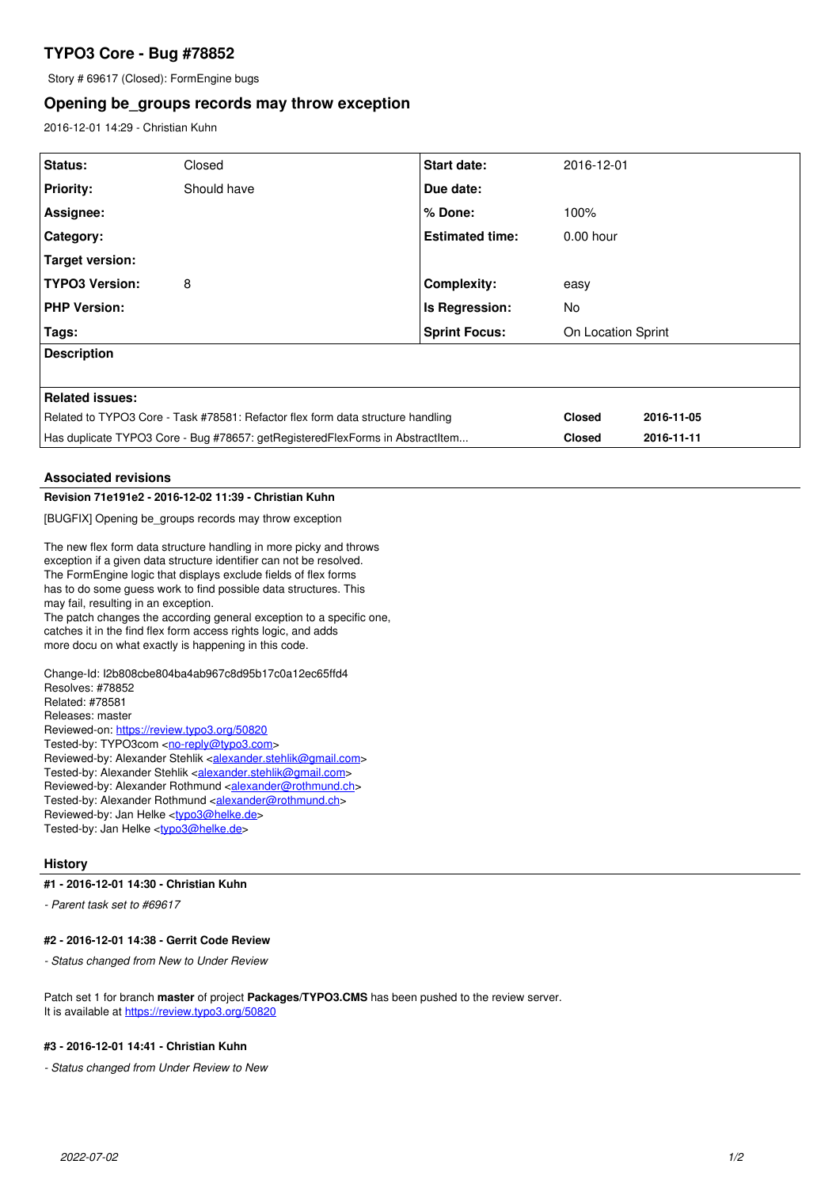# **TYPO3 Core - Bug #78852**

Story # 69617 (Closed): FormEngine bugs

## **Opening be\_groups records may throw exception**

2016-12-01 14:29 - Christian Kuhn

| Status:                                                                                                                                                                                                                                                                                                                | Closed      | <b>Start date:</b>     | 2016-12-01         |            |
|------------------------------------------------------------------------------------------------------------------------------------------------------------------------------------------------------------------------------------------------------------------------------------------------------------------------|-------------|------------------------|--------------------|------------|
| <b>Priority:</b>                                                                                                                                                                                                                                                                                                       | Should have | Due date:              |                    |            |
| Assignee:                                                                                                                                                                                                                                                                                                              |             | % Done:                | 100%               |            |
| Category:                                                                                                                                                                                                                                                                                                              |             | <b>Estimated time:</b> | $0.00$ hour        |            |
| <b>Target version:</b>                                                                                                                                                                                                                                                                                                 |             |                        |                    |            |
| <b>TYPO3 Version:</b>                                                                                                                                                                                                                                                                                                  | 8           | <b>Complexity:</b>     | easy               |            |
| <b>PHP Version:</b>                                                                                                                                                                                                                                                                                                    |             | Is Regression:         | No.                |            |
| Tags:                                                                                                                                                                                                                                                                                                                  |             | <b>Sprint Focus:</b>   | On Location Sprint |            |
| <b>Description</b>                                                                                                                                                                                                                                                                                                     |             |                        |                    |            |
|                                                                                                                                                                                                                                                                                                                        |             |                        |                    |            |
| <b>Related issues:</b>                                                                                                                                                                                                                                                                                                 |             |                        |                    |            |
| Related to TYPO3 Core - Task #78581: Refactor flex form data structure handling                                                                                                                                                                                                                                        |             |                        | <b>Closed</b>      | 2016-11-05 |
| Has duplicate TYPO3 Core - Bug #78657: getRegisteredFlexForms in AbstractItem                                                                                                                                                                                                                                          |             |                        | <b>Closed</b>      | 2016-11-11 |
|                                                                                                                                                                                                                                                                                                                        |             |                        |                    |            |
| <b>Associated revisions</b>                                                                                                                                                                                                                                                                                            |             |                        |                    |            |
| Revision 71e191e2 - 2016-12-02 11:39 - Christian Kuhn                                                                                                                                                                                                                                                                  |             |                        |                    |            |
| [BUGFIX] Opening be groups records may throw exception                                                                                                                                                                                                                                                                 |             |                        |                    |            |
| The new flex form data structure handling in more picky and throws<br>exception if a given data structure identifier can not be resolved.<br>The FormEngine logic that displays exclude fields of flex forms<br>has to do some guess work to find possible data structures. This<br>may fail reculting in an exception |             |                        |                    |            |

may fail, resulting in an exception. The patch changes the according general exception to a specific one, catches it in the find flex form access rights logic, and adds

more docu on what exactly is happening in this code.

Change-Id: I2b808cbe804ba4ab967c8d95b17c0a12ec65ffd4 Resolves: #78852 Related: #78581 Releases: master Reviewed-on:<https://review.typo3.org/50820> Tested-by: TYPO3com [<no-reply@typo3.com](mailto:no-reply@typo3.com)> Reviewed-by: Alexander Stehlik [<alexander.stehlik@gmail.com>](mailto:alexander.stehlik@gmail.com) Tested-by: Alexander Stehlik [<alexander.stehlik@gmail.com>](mailto:alexander.stehlik@gmail.com) Reviewed-by: Alexander Rothmund <[alexander@rothmund.ch>](mailto:alexander@rothmund.ch) Tested-by: Alexander Rothmund [<alexander@rothmund.ch>](mailto:alexander@rothmund.ch) Reviewed-by: Jan Helke [<typo3@helke.de](mailto:typo3@helke.de)> Tested-by: Jan Helke <[typo3@helke.de>](mailto:typo3@helke.de)

#### **History**

#### **#1 - 2016-12-01 14:30 - Christian Kuhn**

*- Parent task set to #69617*

### **#2 - 2016-12-01 14:38 - Gerrit Code Review**

*- Status changed from New to Under Review*

Patch set 1 for branch **master** of project **Packages/TYPO3.CMS** has been pushed to the review server. It is available at <https://review.typo3.org/50820>

### **#3 - 2016-12-01 14:41 - Christian Kuhn**

*- Status changed from Under Review to New*